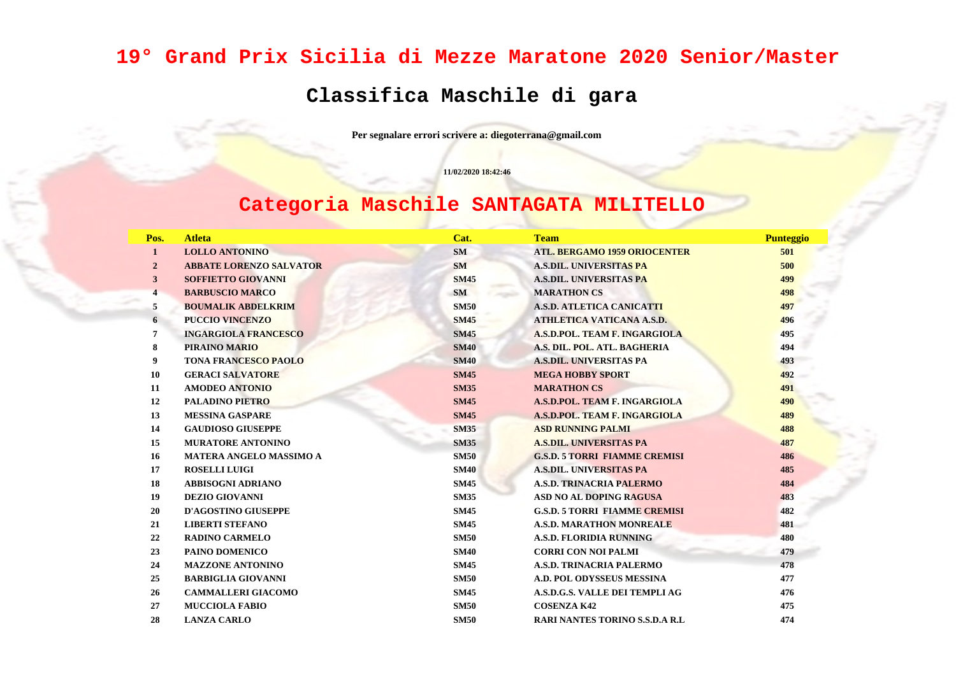**19° Grand Prix Sicilia di Mezze Maratone 2020 Senior/Master**

## **Classifica Maschile di gara**

**Per segnalare errori scrivere a: diegoterrana@gmail.com**

**11/02/2020 18:42:46**

## **Categoria Maschile SANTAGATA MILITELLO**

| Pos.                    | <b>Atleta</b>                  | Cat.        | <b>Team</b>                           | <b>Punteggio</b> |
|-------------------------|--------------------------------|-------------|---------------------------------------|------------------|
| $\mathbf{1}$            | <b>LOLLO ANTONINO</b>          | <b>SM</b>   | <b>ATL. BERGAMO 1959 ORIOCENTER</b>   | 501              |
| $\overline{2}$          | <b>ABBATE LORENZO SALVATOR</b> | <b>SM</b>   | <b>A.S.DIL. UNIVERSITAS PA</b>        | 500              |
| 3                       | <b>SOFFIETTO GIOVANNI</b>      | <b>SM45</b> | <b>A.S.DIL. UNIVERSITAS PA</b>        | 499              |
| $\overline{\mathbf{4}}$ | <b>BARBUSCIO MARCO</b>         | SM          | <b>MARATHON CS</b>                    | 498              |
| 5                       | <b>BOUMALIK ABDELKRIM</b>      | <b>SM50</b> | <b>A.S.D. ATLETICA CANICATTI</b>      | 497              |
| 6                       | <b>PUCCIO VINCENZO</b>         | <b>SM45</b> | ATHLETICA VATICANA A.S.D.             | 496              |
| 7                       | <b>INGARGIOLA FRANCESCO</b>    | <b>SM45</b> | <b>A.S.D.POL. TEAM F. INGARGIOLA</b>  | 495              |
| 8                       | PIRAINO MARIO                  | <b>SM40</b> | A.S. DIL. POL. ATL. BAGHERIA          | 494              |
| 9                       | <b>TONA FRANCESCO PAOLO</b>    | <b>SM40</b> | <b>A.S.DIL. UNIVERSITAS PA</b>        | 493              |
| 10                      | <b>GERACI SALVATORE</b>        | <b>SM45</b> | <b>MEGA HOBBY SPORT</b>               | 492              |
| 11                      | <b>AMODEO ANTONIO</b>          | <b>SM35</b> | <b>MARATHON CS</b>                    | 491              |
| 12                      | <b>PALADINO PIETRO</b>         | <b>SM45</b> | A.S.D.POL. TEAM F. INGARGIOLA         | 490              |
| 13                      | <b>MESSINA GASPARE</b>         | <b>SM45</b> | A.S.D.POL. TEAM F. INGARGIOLA         | 489              |
| 14                      | <b>GAUDIOSO GIUSEPPE</b>       | <b>SM35</b> | <b>ASD RUNNING PALMI</b>              | 488              |
| 15                      | <b>MURATORE ANTONINO</b>       | <b>SM35</b> | <b>A.S.DIL. UNIVERSITAS PA</b>        | 487              |
| 16                      | <b>MATERA ANGELO MASSIMO A</b> | <b>SM50</b> | <b>G.S.D. 5 TORRI FIAMME CREMISI</b>  | 486              |
| 17                      | <b>ROSELLI LUIGI</b>           | <b>SM40</b> | <b>A.S.DIL. UNIVERSITAS PA</b>        | 485              |
| 18                      | <b>ABBISOGNI ADRIANO</b>       | <b>SM45</b> | <b>A.S.D. TRINACRIA PALERMO</b>       | 484              |
| 19                      | <b>DEZIO GIOVANNI</b>          | <b>SM35</b> | ASD NO AL DOPING RAGUSA               | 483              |
| 20                      | <b>D'AGOSTINO GIUSEPPE</b>     | <b>SM45</b> | <b>G.S.D. 5 TORRI FIAMME CREMISI</b>  | 482              |
| 21                      | <b>LIBERTI STEFANO</b>         | <b>SM45</b> | <b>A.S.D. MARATHON MONREALE</b>       | 481              |
| 22                      | <b>RADINO CARMELO</b>          | <b>SM50</b> | <b>A.S.D. FLORIDIA RUNNING</b>        | 480              |
| 23                      | PAINO DOMENICO                 | <b>SM40</b> | <b>CORRI CON NOI PALMI</b>            | 479              |
| 24                      | <b>MAZZONE ANTONINO</b>        | <b>SM45</b> | <b>A.S.D. TRINACRIA PALERMO</b>       | 478              |
| 25                      | <b>BARBIGLIA GIOVANNI</b>      | <b>SM50</b> | <b>A.D. POL ODYSSEUS MESSINA</b>      | 477              |
| 26                      | <b>CAMMALLERI GIACOMO</b>      | <b>SM45</b> | A.S.D.G.S. VALLE DEI TEMPLI AG        | 476              |
| 27                      | <b>MUCCIOLA FABIO</b>          | <b>SM50</b> | <b>COSENZA K42</b>                    | 475              |
| 28                      | <b>LANZA CARLO</b>             | <b>SM50</b> | <b>RARI NANTES TORINO S.S.D.A R.L</b> | 474              |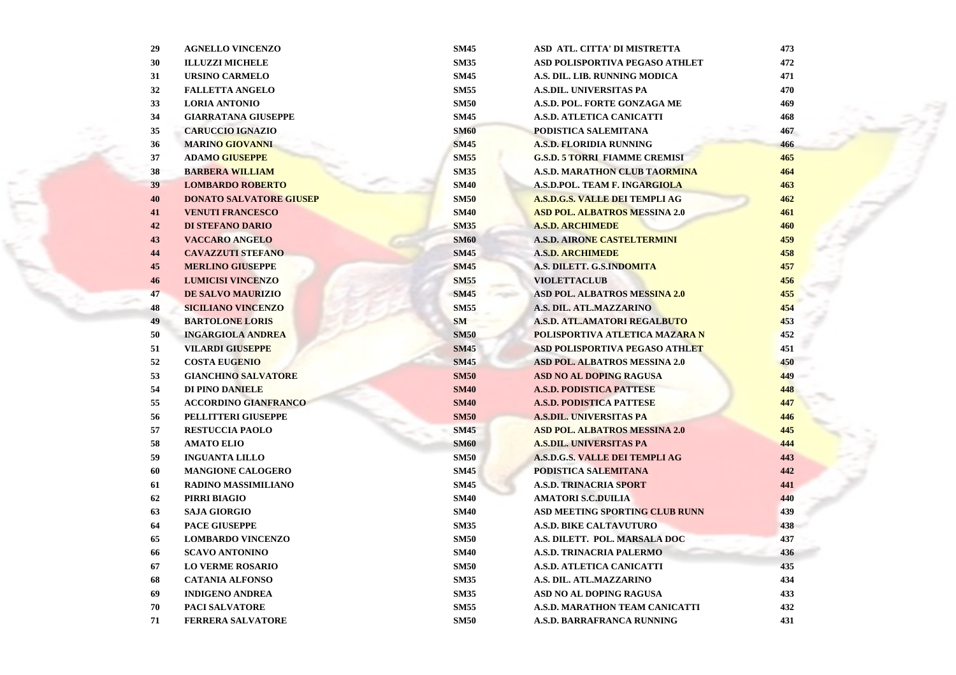| 29 | <b>AGNELLO VINCENZO</b>        | <b>SM45</b>                      | ASD ATL. CITTA' DI MISTRETTA          | 473 |
|----|--------------------------------|----------------------------------|---------------------------------------|-----|
| 30 | <b>ILLUZZI MICHELE</b>         | <b>SM35</b>                      | ASD POLISPORTIVA PEGASO ATHLET        | 472 |
| 31 | <b>URSINO CARMELO</b>          | <b>SM45</b>                      | A.S. DIL. LIB. RUNNING MODICA         | 471 |
| 32 | <b>FALLETTA ANGELO</b>         | <b>SM55</b>                      | <b>A.S.DIL. UNIVERSITAS PA</b>        | 470 |
| 33 | <b>LORIA ANTONIO</b>           | <b>SM50</b>                      | A.S.D. POL. FORTE GONZAGA ME          | 469 |
| 34 | <b>GIARRATANA GIUSEPPE</b>     | <b>SM45</b>                      | A.S.D. ATLETICA CANICATTI             | 468 |
| 35 | <b>CARUCCIO IGNAZIO</b>        | <b>SM60</b>                      | PODISTICA SALEMITANA                  | 467 |
| 36 | <b>MARINO GIOVANNI</b>         | <b>SM45</b>                      | <b>A.S.D. FLORIDIA RUNNING</b>        | 466 |
| 37 | <b>ADAMO GIUSEPPE</b>          | <b>SM55</b>                      | <b>G.S.D. 5 TORRI FIAMME CREMISI</b>  | 465 |
| 38 | <b>BARBERA WILLIAM</b>         | <b>SM35</b>                      | <b>A.S.D. MARATHON CLUB TAORMINA</b>  | 464 |
| 39 | <b>LOMBARDO ROBERTO</b>        | <b>SM40</b>                      | A.S.D.POL. TEAM F. INGARGIOLA         | 463 |
| 40 | <b>DONATO SALVATORE GIUSEP</b> | <b>SM50</b>                      | <b>A.S.D.G.S. VALLE DEI TEMPLI AG</b> | 462 |
| 41 | <b>VENUTI FRANCESCO</b>        | <b>SM40</b>                      | <b>ASD POL. ALBATROS MESSINA 2.0</b>  | 461 |
| 42 | <b>DI STEFANO DARIO</b>        | <b>SM35</b>                      | <b>A.S.D. ARCHIMEDE</b>               | 460 |
| 43 | <b>VACCARO ANGELO</b>          | <b>SM60</b>                      | <b>A.S.D. AIRONE CASTELTERMINI</b>    | 459 |
| 44 | <b>CAVAZZUTI STEFANO</b>       | <b>SM45</b>                      | <b>A.S.D. ARCHIMEDE</b>               | 458 |
| 45 | <b>MERLINO GIUSEPPE</b>        | <b>SM45</b>                      | A.S. DILETT. G.S.INDOMITA             | 457 |
| 46 | <b>LUMICISI VINCENZO</b>       | <b>SM55</b>                      | <b>VIOLETTACLUB</b>                   | 456 |
| 47 | <b>DE SALVO MAURIZIO</b>       | <b>SM45</b><br><b>The Common</b> | <b>ASD POL. ALBATROS MESSINA 2.0</b>  | 455 |
| 48 | <b>SICILIANO VINCENZO</b>      | <b>SM55</b>                      | A.S. DIL. ATL.MAZZARINO               | 454 |
| 49 | <b>BARTOLONE LORIS</b>         | <b>SM</b>                        | A.S.D. ATL.AMATORI REGALBUTO          | 453 |
| 50 | <b>INGARGIOLA ANDREA</b>       | <b>SM50</b>                      | POLISPORTIVA ATLETICA MAZARA N        | 452 |
| 51 | <b>VILARDI GIUSEPPE</b>        | <b>SM45</b>                      | ASD POLISPORTIVA PEGASO ATHLET        | 451 |
| 52 | <b>COSTA EUGENIO</b>           | <b>SM45</b>                      | <b>ASD POL. ALBATROS MESSINA 2.0</b>  | 450 |
| 53 | <b>GIANCHINO SALVATORE</b>     | <b>SM50</b>                      | <b>ASD NO AL DOPING RAGUSA</b>        | 449 |
| 54 | <b>DI PINO DANIELE</b>         | <b>SM40</b>                      | <b>A.S.D. PODISTICA PATTESE</b>       | 448 |
| 55 | <b>ACCORDINO GIANFRANCO</b>    | <b>SM40</b>                      | <b>A.S.D. PODISTICA PATTESE</b>       | 447 |
| 56 | PELLITTERI GIUSEPPE            | <b>SM50</b>                      | <b>A.S.DIL. UNIVERSITAS PA</b>        | 446 |
| 57 | <b>RESTUCCIA PAOLO</b>         | <b>SM45</b>                      | <b>ASD POL. ALBATROS MESSINA 2.0</b>  | 445 |
| 58 | <b>AMATO ELIO</b>              | <b>SM60</b>                      | <b>A.S.DIL. UNIVERSITAS PA</b>        | 444 |
| 59 | <b>INGUANTA LILLO</b>          | <b>SM50</b>                      | A.S.D.G.S. VALLE DEI TEMPLI AG        | 443 |
| 60 | <b>MANGIONE CALOGERO</b>       | <b>SM45</b>                      | PODISTICA SALEMITANA                  | 442 |
| 61 | <b>RADINO MASSIMILIANO</b>     | <b>SM45</b>                      | <b>A.S.D. TRINACRIA SPORT</b>         | 441 |
| 62 | PIRRI BIAGIO                   | <b>SM40</b>                      | <b>AMATORI S.C.DUILIA</b>             | 440 |
| 63 | <b>SAJA GIORGIO</b>            | <b>SM40</b>                      | ASD MEETING SPORTING CLUB RUNN        | 439 |
| 64 | <b>PACE GIUSEPPE</b>           | <b>SM35</b>                      | <b>A.S.D. BIKE CALTAVUTURO</b>        | 438 |
| 65 | <b>LOMBARDO VINCENZO</b>       | <b>SM50</b>                      | A.S. DILETT. POL. MARSALA DOC         | 437 |
| 66 | <b>SCAVO ANTONINO</b>          | <b>SM40</b>                      | <b>A.S.D. TRINACRIA PALERMO</b>       | 436 |
| 67 | <b>LO VERME ROSARIO</b>        | <b>SM50</b>                      | <b>A.S.D. ATLETICA CANICATTI</b>      | 435 |
| 68 | <b>CATANIA ALFONSO</b>         | <b>SM35</b>                      | A.S. DIL. ATL.MAZZARINO               | 434 |
| 69 | <b>INDIGENO ANDREA</b>         | <b>SM35</b>                      | ASD NO AL DOPING RAGUSA               | 433 |
| 70 | <b>PACI SALVATORE</b>          | <b>SM55</b>                      | <b>A.S.D. MARATHON TEAM CANICATTI</b> | 432 |
| 71 | <b>FERRERA SALVATORE</b>       | <b>SM50</b>                      | <b>A.S.D. BARRAFRANCA RUNNING</b>     | 431 |
|    |                                |                                  |                                       |     |

틴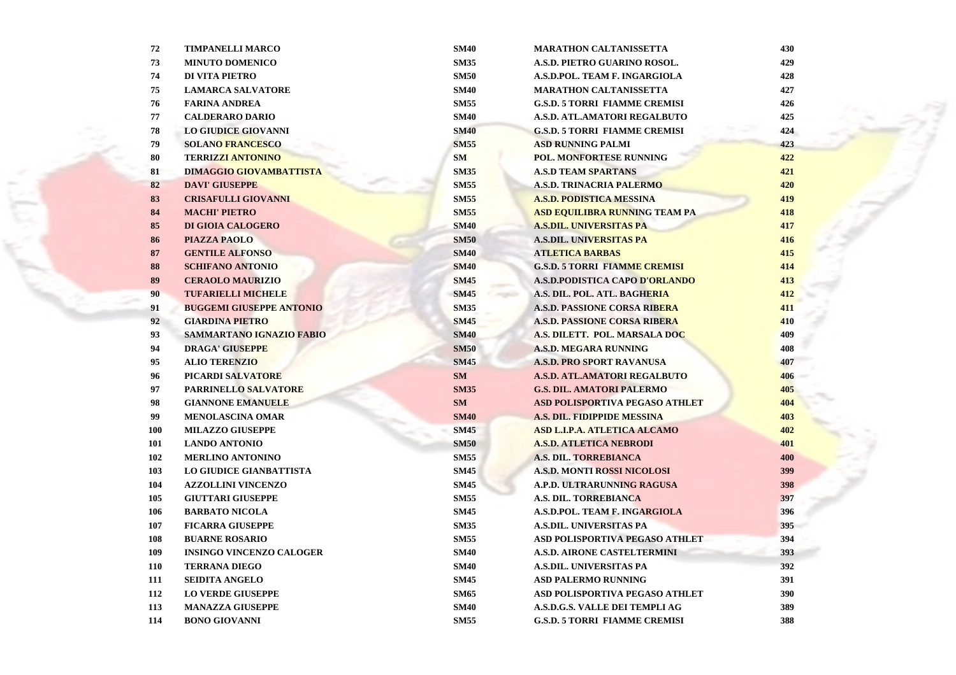| 72         | <b>TIMPANELLI MARCO</b>         | <b>SM40</b> | <b>MARATHON CALTANISSETTA</b>         | 430 |
|------------|---------------------------------|-------------|---------------------------------------|-----|
| 73         | <b>MINUTO DOMENICO</b>          | <b>SM35</b> | A.S.D. PIETRO GUARINO ROSOL.          | 429 |
| 74         | <b>DI VITA PIETRO</b>           | <b>SM50</b> | A.S.D.POL. TEAM F. INGARGIOLA         | 428 |
| 75         | <b>LAMARCA SALVATORE</b>        | <b>SM40</b> | <b>MARATHON CALTANISSETTA</b>         | 427 |
| 76         | <b>FARINA ANDREA</b>            | <b>SM55</b> | <b>G.S.D. 5 TORRI FIAMME CREMISI</b>  | 426 |
| 77         | <b>CALDERARO DARIO</b>          | <b>SM40</b> | A.S.D. ATL.AMATORI REGALBUTO          | 425 |
| 78         | <b>LO GIUDICE GIOVANNI</b>      | <b>SM40</b> | <b>G.S.D. 5 TORRI FIAMME CREMISI</b>  | 424 |
| 79         | <b>SOLANO FRANCESCO</b>         | <b>SM55</b> | <b>ASD RUNNING PALMI</b>              | 423 |
| 80         | <b>TERRIZZI ANTONINO</b>        | <b>SM</b>   | POL. MONFORTESE RUNNING               | 422 |
| 81         | <b>DIMAGGIO GIOVAMBATTISTA</b>  | <b>SM35</b> | <b>A.S.D TEAM SPARTANS</b>            | 421 |
| 82         | <b>DAVI' GIUSEPPE</b>           | <b>SM55</b> | <b>A.S.D. TRINACRIA PALERMO</b>       | 420 |
| 83         | <b>CRISAFULLI GIOVANNI</b>      | <b>SM55</b> | <b>A.S.D. PODISTICA MESSINA</b>       | 419 |
| 84         | <b>MACHI' PIETRO</b>            | <b>SM55</b> | <b>ASD EQUILIBRA RUNNING TEAM PA</b>  | 418 |
| 85         | DI GIOIA CALOGERO               | <b>SM40</b> | <b>A.S.DIL. UNIVERSITAS PA</b>        | 417 |
| 86         | <b>PIAZZA PAOLO</b>             | <b>SM50</b> | <b>A.S.DIL. UNIVERSITAS PA</b>        | 416 |
| 87         | <b>GENTILE ALFONSO</b>          | <b>SM40</b> | <b>ATLETICA BARBAS</b>                | 415 |
| 88         | <b>SCHIFANO ANTONIO</b>         | <b>SM40</b> | <b>G.S.D. 5 TORRI FIAMME CREMISI</b>  | 414 |
| 89         | <b>CERAOLO MAURIZIO</b>         | <b>SM45</b> | A.S.D.PODISTICA CAPO D'ORLANDO        | 413 |
| 90         | <b>TUFARIELLI MICHELE</b>       | <b>SM45</b> | A.S. DIL. POL. ATL. BAGHERIA          | 412 |
| 91         | <b>BUGGEMI GIUSEPPE ANTONIO</b> | <b>SM35</b> | A.S.D. PASSIONE CORSA RIBERA          | 411 |
| 92         | <b>GIARDINA PIETRO</b>          | <b>SM45</b> | <b>A.S.D. PASSIONE CORSA RIBERA</b>   | 410 |
| 93         | <b>SAMMARTANO IGNAZIO FABIO</b> | <b>SM40</b> | A.S. DILETT. POL. MARSALA DOC         | 409 |
| 94         | <b>DRAGA' GIUSEPPE</b>          | <b>SM50</b> | <b>A.S.D. MEGARA RUNNING</b>          | 408 |
| 95         | <b>ALIO TERENZIO</b>            | <b>SM45</b> | <b>A.S.D. PRO SPORT RAVANUSA</b>      | 407 |
| 96         | PICARDI SALVATORE               | <b>SM</b>   | A.S.D. ATL.AMATORI REGALBUTO          | 406 |
| 97         | <b>PARRINELLO SALVATORE</b>     | <b>SM35</b> | <b>G.S. DIL. AMATORI PALERMO</b>      | 405 |
| 98         | <b>GIANNONE EMANUELE</b>        | <b>SM</b>   | <b>ASD POLISPORTIVA PEGASO ATHLET</b> | 404 |
| 99         | <b>MENOLASCINA OMAR</b>         | <b>SM40</b> | A.S. DIL. FIDIPPIDE MESSINA           | 403 |
| 100        | <b>MILAZZO GIUSEPPE</b>         | <b>SM45</b> | ASD L.I.P.A. ATLETICA ALCAMO          | 402 |
| 101        | <b>LANDO ANTONIO</b>            | <b>SM50</b> | <b>A.S.D. ATLETICA NEBRODI</b>        | 401 |
| 102        | <b>MERLINO ANTONINO</b>         | <b>SM55</b> | A.S. DIL. TORREBIANCA                 | 400 |
| 103        | <b>LO GIUDICE GIANBATTISTA</b>  | <b>SM45</b> | <b>A.S.D. MONTI ROSSI NICOLOSI</b>    | 399 |
| 104        | <b>AZZOLLINI VINCENZO</b>       | <b>SM45</b> | A.P.D. ULTRARUNNING RAGUSA            | 398 |
| 105        | <b>GIUTTARI GIUSEPPE</b>        | <b>SM55</b> | A.S. DIL. TORREBIANCA                 | 397 |
| 106        | <b>BARBATO NICOLA</b>           | <b>SM45</b> | A.S.D.POL. TEAM F. INGARGIOLA         | 396 |
| 107        | <b>FICARRA GIUSEPPE</b>         | <b>SM35</b> | <b>A.S.DIL. UNIVERSITAS PA</b>        | 395 |
| 108        | <b>BUARNE ROSARIO</b>           | <b>SM55</b> | ASD POLISPORTIVA PEGASO ATHLET        | 394 |
| 109        | <b>INSINGO VINCENZO CALOGER</b> | <b>SM40</b> | <b>A.S.D. AIRONE CASTELTERMINI</b>    | 393 |
| <b>110</b> | <b>TERRANA DIEGO</b>            | <b>SM40</b> | <b>A.S.DIL. UNIVERSITAS PA</b>        | 392 |
| 111        | <b>SEIDITA ANGELO</b>           | <b>SM45</b> | <b>ASD PALERMO RUNNING</b>            | 391 |
| 112        | <b>LO VERDE GIUSEPPE</b>        | <b>SM65</b> | ASD POLISPORTIVA PEGASO ATHLET        | 390 |
| 113        | <b>MANAZZA GIUSEPPE</b>         | <b>SM40</b> | A.S.D.G.S. VALLE DEI TEMPLI AG        | 389 |
| 114        | <b>BONO GIOVANNI</b>            | <b>SM55</b> | <b>G.S.D. 5 TORRI FIAMME CREMISI</b>  | 388 |

딜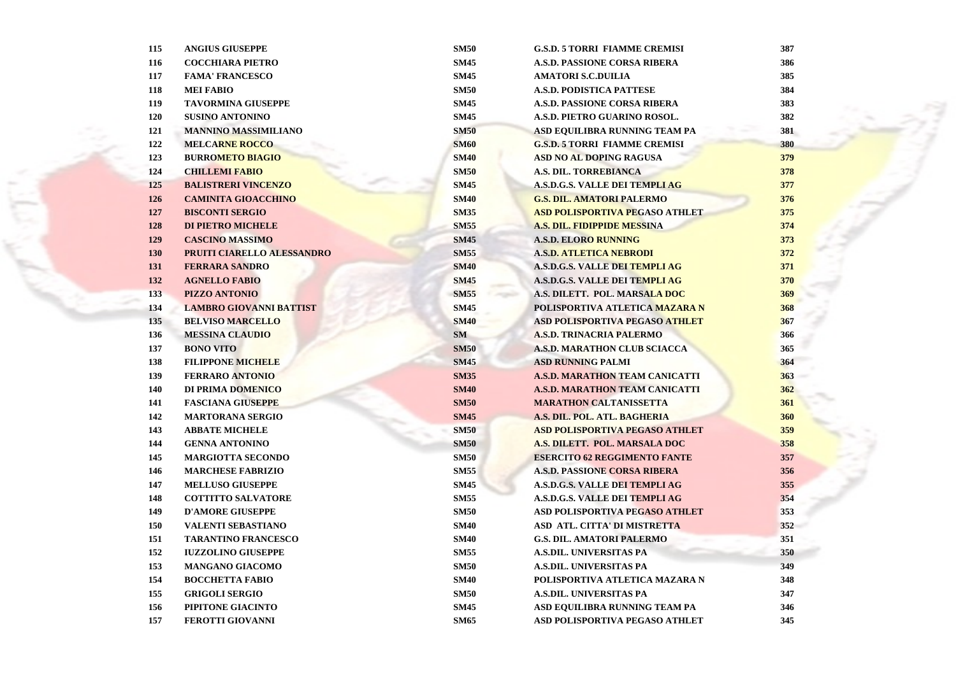| 115        | <b>ANGIUS GIUSEPPE</b>         | <b>SM50</b> | <b>G.S.D. 5 TORRI FIAMME CREMISI</b>        | 387 |
|------------|--------------------------------|-------------|---------------------------------------------|-----|
| 116        | <b>COCCHIARA PIETRO</b>        | <b>SM45</b> | <b>A.S.D. PASSIONE CORSA RIBERA</b>         | 386 |
| 117        | <b>FAMA' FRANCESCO</b>         | <b>SM45</b> | <b>AMATORI S.C.DUILIA</b>                   | 385 |
| 118        | <b>MEI FABIO</b>               | <b>SM50</b> | A.S.D. PODISTICA PATTESE                    | 384 |
| 119        | <b>TAVORMINA GIUSEPPE</b>      | <b>SM45</b> | A.S.D. PASSIONE CORSA RIBERA                | 383 |
| 120        | <b>SUSINO ANTONINO</b>         | <b>SM45</b> | A.S.D. PIETRO GUARINO ROSOL.                | 382 |
| 121        | <b>MANNINO MASSIMILIANO</b>    | <b>SM50</b> | ASD EQUILIBRA RUNNING TEAM PA               | 381 |
| 122        | <b>MELCARNE ROCCO</b>          | <b>SM60</b> | <b>G.S.D. 5 TORRI FIAMME CREMISI</b>        | 380 |
| 123        | <b>BURROMETO BIAGIO</b>        | <b>SM40</b> | ASD NO AL DOPING RAGUSA                     | 379 |
| 124        | <b>CHILLEMI FABIO</b>          | <b>SM50</b> | A.S. DIL. TORREBIANCA                       | 378 |
| 125        | <b>BALISTRERI VINCENZO</b>     | <b>SM45</b> | <b>A.S.D.G.S. VALLE DEI TEMPLI AG</b>       | 377 |
| <b>126</b> | <b>CAMINITA GIOACCHINO</b>     | <b>SM40</b> | <b>G.S. DIL. AMATORI PALERMO</b>            | 376 |
| 127        | <b>BISCONTI SERGIO</b>         | <b>SM35</b> | <b>ASD POLISPORTIVA PEGASO ATHLET</b>       | 375 |
| 128        | <b>DI PIETRO MICHELE</b>       | <b>SM55</b> | <b>A.S. DIL. FIDIPPIDE MESSINA</b>          | 374 |
| 129        | <b>CASCINO MASSIMO</b>         | <b>SM45</b> | <b>A.S.D. ELORO RUNNING</b>                 | 373 |
| <b>130</b> | PRUITI CIARELLO ALESSANDRO     | <b>SM55</b> | <b>A.S.D. ATLETICA NEBRODI</b>              | 372 |
| 131        | <b>FERRARA SANDRO</b>          | <b>SM40</b> | <b>A.S.D.G.S. VALLE DEI TEMPLI AG</b>       | 371 |
| 132        | <b>AGNELLO FABIO</b>           | <b>SM45</b> | A.S.D.G.S. VALLE DEI TEMPLI AG              | 370 |
| 133        | <b>PIZZO ANTONIO</b>           | <b>SM55</b> | A.S. DILETT. POL. MARSALA DOC               | 369 |
| 134        | <b>LAMBRO GIOVANNI BATTIST</b> | <b>SM45</b> | POLISPORTIVA ATLETICA <mark>MAZARA N</mark> | 368 |
| 135        | <b>BELVISO MARCELLO</b>        | <b>SM40</b> | <b>ASD POLISPORTIVA PEGASO ATHLET</b>       | 367 |
| 136        | <b>MESSINA CLAUDIO</b>         | <b>SM</b>   | <b>A.S.D. TRINACRIA PALERMO</b>             | 366 |
| 137        | <b>BONO VITO</b>               | <b>SM50</b> | <b>A.S.D. MARATHON CLUB SCIACCA</b>         | 365 |
| 138        | <b>FILIPPONE MICHELE</b>       | <b>SM45</b> | <b>ASD RUNNING PALMI</b>                    | 364 |
| 139        | <b>FERRARO ANTONIO</b>         | <b>SM35</b> | A.S.D. MARATHON TEAM CANICATTI              | 363 |
| 140        | DI PRIMA DOMENICO              | <b>SM40</b> | A.S.D. MARATHON TEAM CANICATTI              | 362 |
| 141        | <b>FASCIANA GIUSEPPE</b>       | <b>SM50</b> | <b>MARATHON CALTANISSETTA</b>               | 361 |
| 142        | <b>MARTORANA SERGIO</b>        | <b>SM45</b> | A.S. DIL. POL. ATL. BAGHERIA                | 360 |
| 143        | <b>ABBATE MICHELE</b>          | <b>SM50</b> | <b>ASD POLISPORTIVA PEGASO ATHLET</b>       | 359 |
| 144        | <b>GENNA ANTONINO</b>          | <b>SM50</b> | A.S. DILETT. POL. MARSALA DOC               | 358 |
| 145        | <b>MARGIOTTA SECONDO</b>       | <b>SM50</b> | <b>ESERCITO 62 REGGIMENTO FANTE</b>         | 357 |
| 146        | <b>MARCHESE FABRIZIO</b>       | <b>SM55</b> | <b>A.S.D. PASSIONE CORSA RIBERA</b>         | 356 |
| 147        | <b>MELLUSO GIUSEPPE</b>        | <b>SM45</b> | <b>A.S.D.G.S. VALLE DEI TEMPLI AG</b>       | 355 |
| 148        | <b>COTTITTO SALVATORE</b>      | <b>SM55</b> | A.S.D.G.S. VALLE DEI TEMPLI AG              | 354 |
| 149        | <b>D'AMORE GIUSEPPE</b>        | <b>SM50</b> | <b>ASD POLISPORTIVA PEGASO ATHLET</b>       | 353 |
| 150        | <b>VALENTI SEBASTIANO</b>      | <b>SM40</b> | ASD ATL. CITTA' DI MISTRETTA                | 352 |
| 151        | <b>TARANTINO FRANCESCO</b>     | <b>SM40</b> | <b>G.S. DIL. AMATORI PALERMO</b>            | 351 |
| 152        | <b>IUZZOLINO GIUSEPPE</b>      | <b>SM55</b> | <b>A.S.DIL. UNIVERSITAS PA</b>              | 350 |
| 153        | <b>MANGANO GIACOMO</b>         | <b>SM50</b> | <b>A.S.DIL. UNIVERSITAS PA</b>              | 349 |
| 154        | <b>BOCCHETTA FABIO</b>         | <b>SM40</b> | POLISPORTIVA ATLETICA MAZARA N              | 348 |
| 155        | <b>GRIGOLI SERGIO</b>          | <b>SM50</b> | <b>A.S.DIL. UNIVERSITAS PA</b>              | 347 |
| 156        | PIPITONE GIACINTO              | <b>SM45</b> | ASD EQUILIBRA RUNNING TEAM PA               | 346 |
| 157        | <b>FEROTTI GIOVANNI</b>        | <b>SM65</b> | ASD POLISPORTIVA PEGASO ATHLET              | 345 |

틴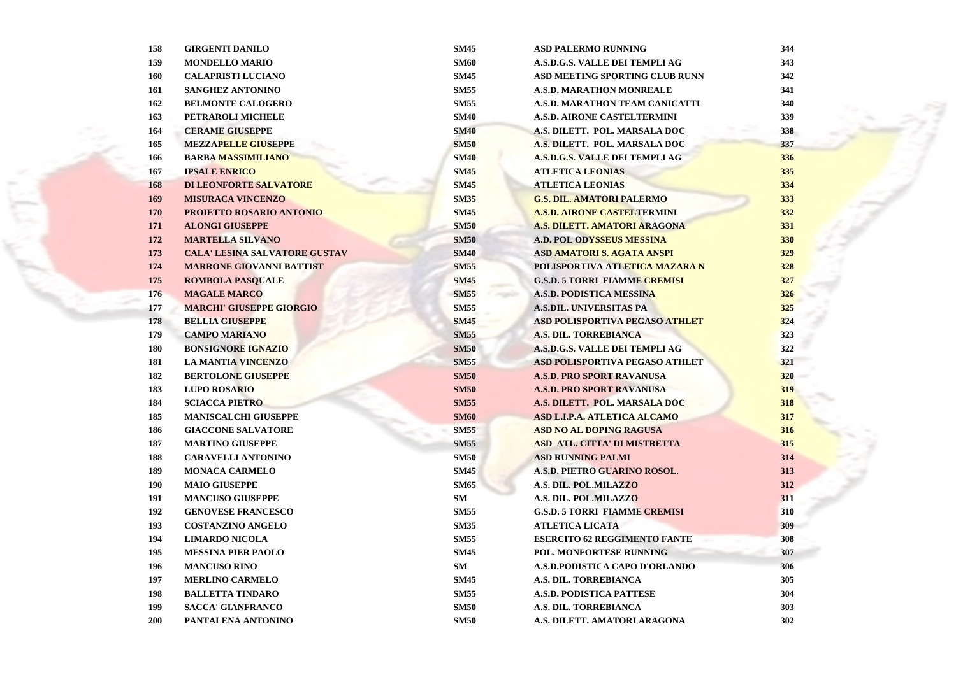| 158 | <b>GIRGENTI DANILO</b>               | <b>SM45</b> | ASD PALERMO RUNNING                   | 344 |
|-----|--------------------------------------|-------------|---------------------------------------|-----|
| 159 | <b>MONDELLO MARIO</b>                | <b>SM60</b> | A.S.D.G.S. VALLE DEI TEMPLI AG        | 343 |
| 160 | <b>CALAPRISTI LUCIANO</b>            | <b>SM45</b> | ASD MEETING SPORTING CLUB RUNN        | 342 |
| 161 | <b>SANGHEZ ANTONINO</b>              | <b>SM55</b> | A.S.D. MARATHON MONREALE              | 341 |
| 162 | <b>BELMONTE CALOGERO</b>             | <b>SM55</b> | <b>A.S.D. MARATHON TEAM CANICATTI</b> | 340 |
| 163 | PETRAROLI MICHELE                    | <b>SM40</b> | A.S.D. AIRONE CASTELTERMINI           | 339 |
| 164 | <b>CERAME GIUSEPPE</b>               | <b>SM40</b> | A.S. DILETT.  POL. MARSALA DOC        | 338 |
| 165 | <b>MEZZAPELLE GIUSEPPE</b>           | <b>SM50</b> | A.S. DILETT. POL. MARSALA DOC         | 337 |
| 166 | <b>BARBA MASSIMILIANO</b>            | <b>SM40</b> | A.S.D.G.S. VALLE DEI TEMPLI AG        | 336 |
| 167 | <b>IPSALE ENRICO</b>                 | <b>SM45</b> | <b>ATLETICA LEONIAS</b>               | 335 |
| 168 | DI LEONFORTE SALVATORE               | <b>SM45</b> | <b>ATLETICA LEONIAS</b>               | 334 |
| 169 | <b>MISURACA VINCENZO</b>             | <b>SM35</b> | <b>G.S. DIL. AMATORI PALERMO</b>      | 333 |
| 170 | PROJETTO ROSARIO ANTONIO             | <b>SM45</b> | <b>A.S.D. AIRONE CASTELTERMINI</b>    | 332 |
| 171 | <b>ALONGI GIUSEPPE</b>               | <b>SM50</b> | A.S. DILETT. AMATORI ARAGONA          | 331 |
| 172 | <b>MARTELLA SILVANO</b>              | <b>SM50</b> | <b>A.D. POL ODYSSEUS MESSINA</b>      | 330 |
| 173 | <b>CALA' LESINA SALVATORE GUSTAV</b> | <b>SM40</b> | ASD AMATORI S. AGATA ANSPI            | 329 |
| 174 | <b>MARRONE GIOVANNI BATTIST</b>      | <b>SM55</b> | POLISPORTIVA ATLETICA MAZARA N        | 328 |
| 175 | <b>ROMBOLA PASQUALE</b>              | <b>SM45</b> | <b>G.S.D. 5 TORRI FIAMME CREMISI</b>  | 327 |
| 176 | <b>MAGALE MARCO</b>                  | <b>SM55</b> | <b>A.S.D. PODISTICA MESSINA</b>       | 326 |
| 177 | <b>MARCHI' GIUSEPPE GIORGIO</b>      | <b>SM55</b> | <b>A.S.DIL. UNIVERSITAS PA</b>        | 325 |
| 178 | <b>BELLIA GIUSEPPE</b>               | <b>SM45</b> | ASD POLISPORTIVA PEGASO ATHLET        | 324 |
| 179 | <b>CAMPO MARIANO</b>                 | <b>SM55</b> | A.S. DIL. TORREBIANCA                 | 323 |
| 180 | <b>BONSIGNORE IGNAZIO</b>            | <b>SM50</b> | A.S.D.G.S. VALLE DEI TEMPLI AG        | 322 |
| 181 | <b>LA MANTIA VINCENZO</b>            | <b>SM55</b> | <b>ASD POLISPORTIVA PEGASO ATHLET</b> | 321 |
| 182 | <b>BERTOLONE GIUSEPPE</b>            | <b>SM50</b> | <b>A.S.D. PRO SPORT RAVANUSA</b>      | 320 |
| 183 | <b>LUPO ROSARIO</b>                  | <b>SM50</b> | <b>A.S.D. PRO SPORT RAVANUSA</b>      | 319 |
| 184 | <b>SCIACCA PIETRO</b>                | <b>SM55</b> | A.S. DILETT. POL. MARSALA DOC         | 318 |
| 185 | <b>MANISCALCHI GIUSEPPE</b>          | <b>SM60</b> | ASD L.I.P.A. ATLETICA ALCAMO          | 317 |
| 186 | <b>GIACCONE SALVATORE</b>            | <b>SM55</b> | <b>ASD NO AL DOPING RAGUSA</b>        | 316 |
| 187 | <b>MARTINO GIUSEPPE</b>              | <b>SM55</b> | ASD ATL. CITTA' DI MISTRETTA          | 315 |
| 188 | <b>CARAVELLI ANTONINO</b>            | <b>SM50</b> | <b>ASD RUNNING PALMI</b>              | 314 |
| 189 | <b>MONACA CARMELO</b>                | <b>SM45</b> | A.S.D. PIETRO GUARINO ROSOL.          | 313 |
| 190 | <b>MAIO GIUSEPPE</b>                 | <b>SM65</b> | A.S. DIL. POL.MILAZZO                 | 312 |
| 191 | <b>MANCUSO GIUSEPPE</b>              | SM          | A.S. DIL. POL.MILAZZO                 | 311 |
| 192 | <b>GENOVESE FRANCESCO</b>            | <b>SM55</b> | <b>G.S.D. 5 TORRI FIAMME CREMISI</b>  | 310 |
| 193 | <b>COSTANZINO ANGELO</b>             | <b>SM35</b> | <b>ATLETICA LICATA</b>                | 309 |
| 194 | <b>LIMARDO NICOLA</b>                | <b>SM55</b> | <b>ESERCITO 62 REGGIMENTO FANTE</b>   | 308 |
| 195 | <b>MESSINA PIER PAOLO</b>            | <b>SM45</b> | POL. MONFORTESE RUNNING               | 307 |
| 196 | <b>MANCUSO RINO</b>                  | SM          | A.S.D.PODISTICA CAPO D'ORLANDO        | 306 |
| 197 | <b>MERLINO CARMELO</b>               | <b>SM45</b> | A.S. DIL. TORREBIANCA                 | 305 |
| 198 | <b>BALLETTA TINDARO</b>              | <b>SM55</b> | <b>A.S.D. PODISTICA PATTESE</b>       | 304 |
| 199 | <b>SACCA' GIANFRANCO</b>             | <b>SM50</b> | A.S. DIL. TORREBIANCA                 | 303 |
| 200 | PANTALENA ANTONINO                   | <b>SM50</b> | A.S. DILETT. AMATORI ARAGONA          | 302 |

E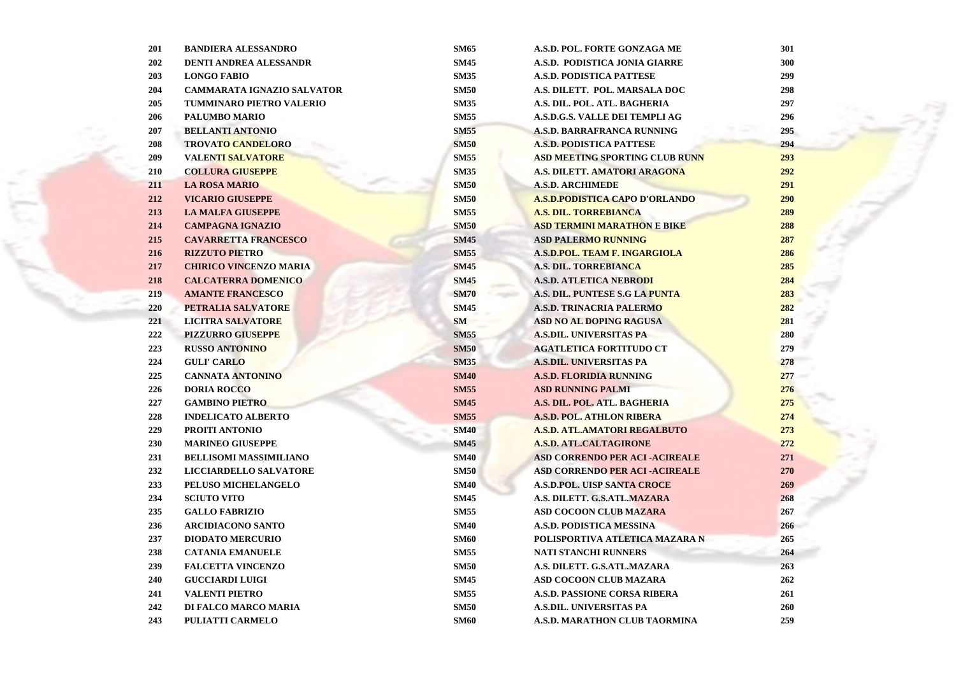| 201 | <b>BANDIERA ALESSANDRO</b>        | <b>SM65</b> | A.S.D. POL. FORTE GONZAGA ME          | 301 |
|-----|-----------------------------------|-------------|---------------------------------------|-----|
| 202 | DENTI ANDREA ALESSANDR            | <b>SM45</b> | A.S.D. PODISTICA JONIA GIARRE         | 300 |
| 203 | <b>LONGO FABIO</b>                | <b>SM35</b> | A.S.D. PODISTICA PATTESE              | 299 |
| 204 | <b>CAMMARATA IGNAZIO SALVATOR</b> | <b>SM50</b> | A.S. DILETT. POL. MARSALA DOC         | 298 |
| 205 | <b>TUMMINARO PIETRO VALERIO</b>   | <b>SM35</b> | A.S. DIL. POL. ATL. BAGHERIA          | 297 |
| 206 | <b>PALUMBO MARIO</b>              | <b>SM55</b> | A.S.D.G.S. VALLE DEI TEMPLI AG        | 296 |
| 207 | <b>BELLANTI ANTONIO</b>           | <b>SM55</b> | <b>A.S.D. BARRAFRANCA RUNNING</b>     | 295 |
| 208 | <b>TROVATO CANDELORO</b>          | <b>SM50</b> | <b>A.S.D. PODISTICA PATTESE</b>       | 294 |
| 209 | <b>VALENTI SALVATORE</b>          | <b>SM55</b> | ASD MEETING SPORTING CLUB RUNN        | 293 |
| 210 | <b>COLLURA GIUSEPPE</b>           | <b>SM35</b> | A.S. DILETT. AMATORI ARAGONA          | 292 |
| 211 | <b>LA ROSA MARIO</b>              | <b>SM50</b> | <b>A.S.D. ARCHIMEDE</b>               | 291 |
| 212 | <b>VICARIO GIUSEPPE</b>           | <b>SM50</b> | <b>A.S.D.PODISTICA CAPO D'ORLANDO</b> | 290 |
| 213 | <b>LA MALFA GIUSEPPE</b>          | <b>SM55</b> | <b>A.S. DIL. TORREBIANCA</b>          | 289 |
| 214 | <b>CAMPAGNA IGNAZIO</b>           | <b>SM50</b> | <b>ASD TERMINI MARATHON E BIKE</b>    | 288 |
| 215 | <b>CAVARRETTA FRANCESCO</b>       | <b>SM45</b> | <b>ASD PALERMO RUNNING</b>            | 287 |
| 216 | <b>RIZZUTO PIETRO</b>             | <b>SM55</b> | A.S.D.POL. TEAM F. INGARGIOLA         | 286 |
| 217 | <b>CHIRICO VINCENZO MARIA</b>     | <b>SM45</b> | A.S. DIL. TORREBIANCA                 | 285 |
| 218 | <b>CALCATERRA DOMENICO</b>        | <b>SM45</b> | <b>A.S.D. ATLETICA NEBRODI</b>        | 284 |
| 219 | <b>AMANTE FRANCESCO</b>           | <b>SM70</b> | A.S. DIL. PUNTESE S.G LA PUNTA        | 283 |
| 220 | PETRALIA SALVATORE                | <b>SM45</b> | <b>A.S.D. TRINACRIA PALERMO</b>       | 282 |
| 221 | <b>LICITRA SALVATORE</b>          | SM          | ASD NO AL DOPING RAGUSA               | 281 |
| 222 | <b>PIZZURRO GIUSEPPE</b>          | <b>SM55</b> | <b>A.S.DIL. UNIVERSITAS PA</b>        | 280 |
| 223 | <b>RUSSO ANTONINO</b>             | <b>SM50</b> | <b>AGATLETICA FORTITUDO CT</b>        | 279 |
| 224 | <b>GULI' CARLO</b>                | <b>SM35</b> | <b>A.S.DIL. UNIVERSITAS PA</b>        | 278 |
| 225 | <b>CANNATA ANTONINO</b>           | <b>SM40</b> | <b>A.S.D. FLORIDIA RUNNING</b>        | 277 |
| 226 | <b>DORIA ROCCO</b>                | <b>SM55</b> | <b>ASD RUNNING PALMI</b>              | 276 |
| 227 | <b>GAMBINO PIETRO</b>             | <b>SM45</b> | A.S. DIL. POL. ATL. BAGHERIA          | 275 |
| 228 | <b>INDELICATO ALBERTO</b>         | <b>SM55</b> | <b>A.S.D. POL. ATHLON RIBERA</b>      | 274 |
| 229 | PROITI ANTONIO                    | <b>SM40</b> | A.S.D. ATL.AMATORI REGALBUTO          | 273 |
| 230 | <b>MARINEO GIUSEPPE</b>           | <b>SM45</b> | A.S.D. ATL.CALTAGIRONE                | 272 |
| 231 | <b>BELLISOMI MASSIMILIANO</b>     | <b>SM40</b> | <b>ASD CORRENDO PER ACI-ACIREALE</b>  | 271 |
| 232 | LICCIARDELLO SALVATORE            | <b>SM50</b> | <b>ASD CORRENDO PER ACI -ACIREALE</b> | 270 |
| 233 | PELUSO MICHELANGELO               | <b>SM40</b> | <b>A.S.D.POL. UISP SANTA CROCE</b>    | 269 |
| 234 | <b>SCIUTO VITO</b>                | <b>SM45</b> | A.S. DILETT. G.S.ATL.MAZARA           | 268 |
| 235 | <b>GALLO FABRIZIO</b>             | <b>SM55</b> | <b>ASD COCOON CLUB MAZARA</b>         | 267 |
| 236 | <b>ARCIDIACONO SANTO</b>          | <b>SM40</b> | <b>A.S.D. PODISTICA MESSINA</b>       | 266 |
| 237 | <b>DIODATO MERCURIO</b>           | <b>SM60</b> | POLISPORTIVA ATLETICA MAZARA N        | 265 |
| 238 | <b>CATANIA EMANUELE</b>           | <b>SM55</b> | <b>NATI STANCHI RUNNERS</b>           | 264 |
| 239 | <b>FALCETTA VINCENZO</b>          | <b>SM50</b> | A.S. DILETT. G.S.ATL.MAZARA           | 263 |
| 240 | <b>GUCCIARDI LUIGI</b>            | <b>SM45</b> | ASD COCOON CLUB MAZARA                | 262 |
| 241 | <b>VALENTI PIETRO</b>             | <b>SM55</b> | <b>A.S.D. PASSIONE CORSA RIBERA</b>   | 261 |
| 242 | DI FALCO MARCO MARIA              | <b>SM50</b> | <b>A.S.DIL. UNIVERSITAS PA</b>        | 260 |
| 243 | <b>PULIATTI CARMELO</b>           | <b>SM60</b> | A.S.D. MARATHON CLUB TAORMINA         | 259 |
|     |                                   |             |                                       |     |

J.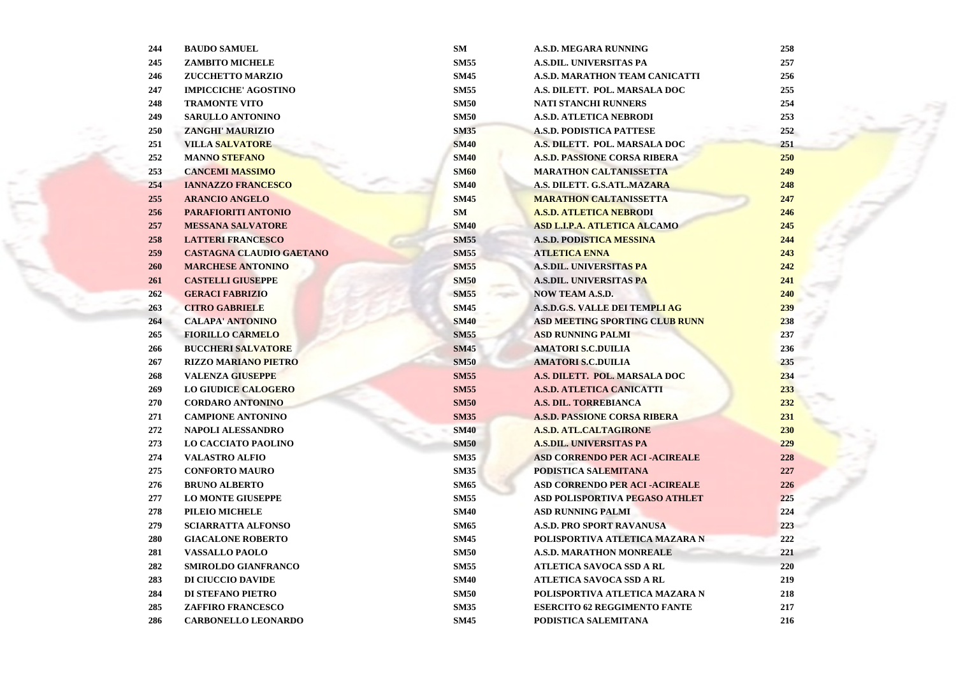| 244 | <b>BAUDO SAMUEL</b>             | <b>SM</b>         | <b>A.S.D. MEGARA RUNNING</b>          | 258 |
|-----|---------------------------------|-------------------|---------------------------------------|-----|
| 245 | <b>ZAMBITO MICHELE</b>          | <b>SM55</b>       | <b>A.S.DIL. UNIVERSITAS PA</b>        | 257 |
| 246 | <b>ZUCCHETTO MARZIO</b>         | <b>SM45</b>       | A.S.D. MARATHON TEAM CANICATTI        | 256 |
| 247 | <b>IMPICCICHE' AGOSTINO</b>     | <b>SM55</b>       | A.S. DILETT. POL. MARSALA DOC         | 255 |
| 248 | <b>TRAMONTE VITO</b>            | <b>SM50</b>       | <b>NATI STANCHI RUNNERS</b>           | 254 |
| 249 | <b>SARULLO ANTONINO</b>         | <b>SM50</b>       | <b>A.S.D. ATLETICA NEBRODI</b>        | 253 |
| 250 | <b>ZANGHI' MAURIZIO</b>         | <b>SM35</b>       | <b>A.S.D. PODISTICA PATTESE</b>       | 252 |
| 251 | <b>VILLA SALVATORE</b>          | <b>SM40</b>       | A.S. DILETT. POL. MARSALA DOC         | 251 |
| 252 | <b>MANNO STEFANO</b>            | <b>SM40</b>       | <b>A.S.D. PASSIONE CORSA RIBERA</b>   | 250 |
| 253 | <b>CANCEMI MASSIMO</b>          | <b>SM60</b>       | <b>MARATHON CALTANISSETTA</b>         | 249 |
| 254 | <b>IANNAZZO FRANCESCO</b>       | <b>SM40</b>       | A.S. DILETT. G.S.ATL.MAZARA           | 248 |
| 255 | <b>ARANCIO ANGELO</b>           | <b>SM45</b>       | <b>MARATHON CALTANISSETTA</b>         | 247 |
| 256 | PARAFIORITI ANTONIO             | SM                | <b>A.S.D. ATLETICA NEBRODI</b>        | 246 |
| 257 | <b>MESSANA SALVATORE</b>        | <b>SM40</b>       | ASD L.I.P.A. ATLETICA ALCAMO          | 245 |
| 258 | <b>LATTERI FRANCESCO</b>        | <b>SM55</b>       | <b>A.S.D. PODISTICA MESSINA</b>       | 244 |
| 259 | <b>CASTAGNA CLAUDIO GAETANO</b> | <b>SM55</b>       | <b>ATLETICA ENNA</b>                  | 243 |
| 260 | <b>MARCHESE ANTONINO</b>        | <b>SM55</b>       | <b>A.S.DIL. UNIVERSITAS PA</b>        | 242 |
| 261 | <b>CASTELLI GIUSEPPE</b>        | <b>SM50</b>       | A.S.DIL. UNIVERSITAS PA               | 241 |
| 262 | <b>GERACI FABRIZIO</b>          | <b>SM55</b><br>-- | <b>NOW TEAM A.S.D.</b>                | 240 |
| 263 | <b>CITRO GABRIELE</b>           | <b>SM45</b>       | A.S.D.G.S. VALLE DEI TEMPLIAG         | 239 |
| 264 | <b>CALAPA' ANTONINO</b>         | <b>SM40</b>       | <b>ASD MEETING SPORTING CLUB RUNN</b> | 238 |
| 265 | <b>FIORILLO CARMELO</b>         | <b>SM55</b>       | <b>ASD RUNNING PALMI</b>              | 237 |
| 266 | <b>BUCCHERI SALVATORE</b>       | <b>SM45</b>       | <b>AMATORI S.C.DUILIA</b>             | 236 |
| 267 | <b>RIZZO MARIANO PIETRO</b>     | <b>SM50</b>       | <b>AMATORI S.C.DUILIA</b>             | 235 |
| 268 | <b>VALENZA GIUSEPPE</b>         | <b>SM55</b>       | A.S. DILETT. POL. MARSALA DOC         | 234 |
| 269 | <b>LO GIUDICE CALOGERO</b>      | <b>SM55</b>       | <b>A.S.D. ATLETICA CANICATTI</b>      | 233 |
| 270 | <b>CORDARO ANTONINO</b>         | <b>SM50</b>       | A.S. DIL. TORREBIANCA                 | 232 |
| 271 | <b>CAMPIONE ANTONINO</b>        | <b>SM35</b>       | <b>A.S.D. PASSIONE CORSA RIBERA</b>   | 231 |
| 272 | NAPOLI ALESSANDRO               | <b>SM40</b>       | A.S.D. ATL.CALTAGIRONE                | 230 |
| 273 | <b>LO CACCIATO PAOLINO</b>      | <b>SM50</b>       | <b>A.S.DIL. UNIVERSITAS PA</b>        | 229 |
| 274 | <b>VALASTRO ALFIO</b>           | <b>SM35</b>       | <b>ASD CORRENDO PER ACI-ACIREALE</b>  | 228 |
| 275 | <b>CONFORTO MAURO</b>           | <b>SM35</b>       | PODISTICA SALEMITANA                  | 227 |
| 276 | <b>BRUNO ALBERTO</b>            | <b>SM65</b>       | <b>ASD CORRENDO PER ACI-ACIREALE</b>  | 226 |
| 277 | <b>LO MONTE GIUSEPPE</b>        | <b>SM55</b>       | ASD POLISPORTIVA PEGASO ATHLET        | 225 |
| 278 | PILEIO MICHELE                  | <b>SM40</b>       | <b>ASD RUNNING PALMI</b>              | 224 |
| 279 | <b>SCIARRATTA ALFONSO</b>       | <b>SM65</b>       | <b>A.S.D. PRO SPORT RAVANUSA</b>      | 223 |
| 280 | <b>GIACALONE ROBERTO</b>        | <b>SM45</b>       | POLISPORTIVA ATLETICA MAZARA N        | 222 |
| 281 | <b>VASSALLO PAOLO</b>           | <b>SM50</b>       | <b>A.S.D. MARATHON MONREALE</b>       | 221 |
| 282 | <b>SMIROLDO GIANFRANCO</b>      | <b>SM55</b>       | ATLETICA SAVOCA SSD A RL              | 220 |
| 283 | DI CIUCCIO DAVIDE               | <b>SM40</b>       | <b>ATLETICA SAVOCA SSD A RL</b>       | 219 |
| 284 | <b>DI STEFANO PIETRO</b>        | <b>SM50</b>       | POLISPORTIVA ATLETICA MAZARA N        | 218 |
| 285 | <b>ZAFFIRO FRANCESCO</b>        | <b>SM35</b>       | <b>ESERCITO 62 REGGIMENTO FANTE</b>   | 217 |
| 286 | <b>CARBONELLO LEONARDO</b>      | <b>SM45</b>       | PODISTICA SALEMITANA                  | 216 |
|     |                                 |                   |                                       |     |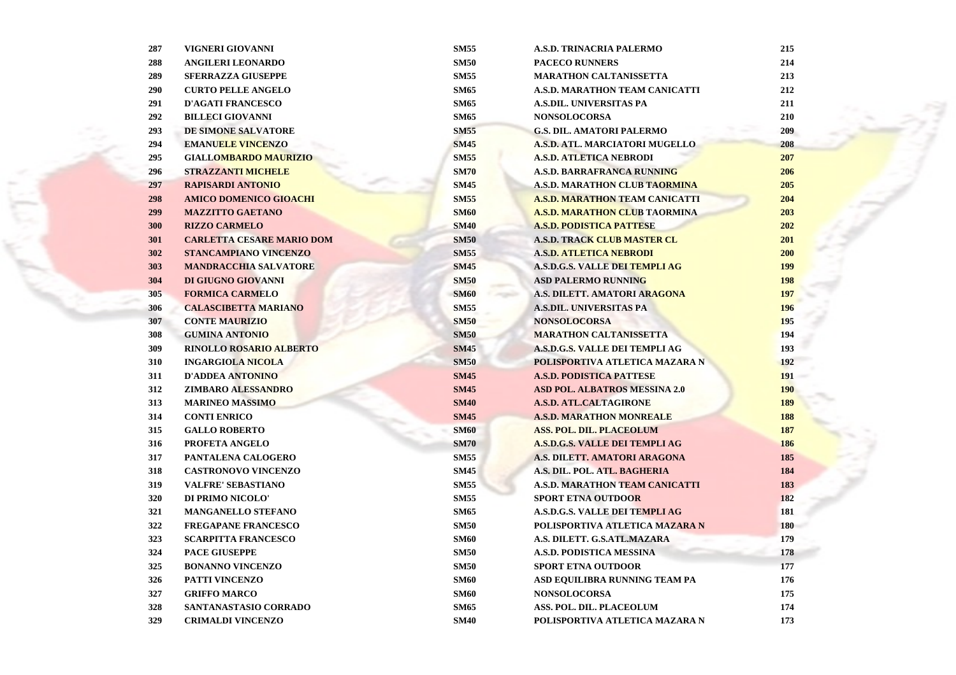| 287        | VIGNERI GIOVANNI                 | <b>SM55</b> | A.S.D. TRINACRIA PALERMO              | 215        |
|------------|----------------------------------|-------------|---------------------------------------|------------|
| 288        | <b>ANGILERI LEONARDO</b>         | <b>SM50</b> | <b>PACECO RUNNERS</b>                 | 214        |
| 289        | <b>SFERRAZZA GIUSEPPE</b>        | <b>SM55</b> | <b>MARATHON CALTANISSETTA</b>         | 213        |
| 290        | <b>CURTO PELLE ANGELO</b>        | <b>SM65</b> | A.S.D. MARATHON TEAM CANICATTI        | 212        |
| 291        | <b>D'AGATI FRANCESCO</b>         | <b>SM65</b> | <b>A.S.DIL. UNIVERSITAS PA</b>        | 211        |
| 292        | <b>BILLECI GIOVANNI</b>          | <b>SM65</b> | <b>NONSOLOCORSA</b>                   | 210        |
| 293        | DE SIMONE SALVATORE              | <b>SM55</b> | <b>G.S. DIL. AMATORI PALERMO</b>      | 209        |
| 294        | <b>EMANUELE VINCENZO</b>         | <b>SM45</b> | A.S.D. ATL. MARCIATORI MUGELLO        | 208        |
| 295        | <b>GIALLOMBARDO MAURIZIO</b>     | <b>SM55</b> | <b>A.S.D. ATLETICA NEBRODI</b>        | 207        |
| 296        | <b>STRAZZANTI MICHELE</b>        | <b>SM70</b> | A.S.D. BARRAFRANCA RUNNING            | 206        |
| 297        | <b>RAPISARDI ANTONIO</b>         | <b>SM45</b> | <b>A.S.D. MARATHON CLUB TAORMINA</b>  | 205        |
| 298        | <b>AMICO DOMENICO GIOACHI</b>    | <b>SM55</b> | <b>A.S.D. MARATHON TEAM CANICATTI</b> | 204        |
| 299        | <b>MAZZITTO GAETANO</b>          | <b>SM60</b> | <b>A.S.D. MARATHON CLUB TAORMINA</b>  | 203        |
| 300        | <b>RIZZO CARMELO</b>             | <b>SM40</b> | <b>A.S.D. PODISTICA PATTESE</b>       | 202        |
| 301        | <b>CARLETTA CESARE MARIO DOM</b> | <b>SM50</b> | <b>A.S.D. TRACK CLUB MASTER CL</b>    | 201        |
| 302        | STANCAMPIANO VINCENZO            | <b>SM55</b> | <b>A.S.D. ATLETICA NEBRODI</b>        | <b>200</b> |
| <b>303</b> | <b>MANDRACCHIA SALVATORE</b>     | <b>SM45</b> | A.S.D.G.S. VALLE DEI TEMPLI AG        | 199        |
| 304        | DI GIUGNO GIOVANNI               | <b>SM50</b> | <b>ASD PALERMO RUNNING</b>            | 198        |
| 305        | <b>FORMICA CARMELO</b>           | <b>SM60</b> | A.S. DILETT. AMATORI ARAGONA          | 197        |
| 306        | <b>CALASCIBETTA MARIANO</b>      | <b>SM55</b> | <b>A.S.DIL. UNIVERSITAS PA</b>        | 196        |
| 307        | <b>CONTE MAURIZIO</b>            | <b>SM50</b> | <b>NONSOLOCORSA</b>                   | 195        |
| 308        | <b>GUMINA ANTONIO</b>            | <b>SM50</b> | <b>MARATHON CALTANISSETTA</b>         | 194        |
| 309        | <b>RINOLLO ROSARIO ALBERTO</b>   | <b>SM45</b> | A.S.D.G.S. VALLE DEI TEMPLI AG        | 193        |
| 310        | <b>INGARGIOLA NICOLA</b>         | <b>SM50</b> | POLISPORTIVA ATLETICA MAZARA N        | 192        |
| 311        | <b>D'ADDEA ANTONINO</b>          | <b>SM45</b> | <b>A.S.D. PODISTICA PATTESE</b>       | 191        |
| 312        | <b>ZIMBARO ALESSANDRO</b>        | <b>SM45</b> | <b>ASD POL. ALBATROS MESSINA 2.0</b>  | 190        |
| 313        | <b>MARINEO MASSIMO</b>           | <b>SM40</b> | A.S.D. ATL.CALTAGIRONE                | 189        |
| 314        | <b>CONTI ENRICO</b>              | <b>SM45</b> | <b>A.S.D. MARATHON MONREALE</b>       | 188        |
| 315        | <b>GALLO ROBERTO</b>             | <b>SM60</b> | ASS. POL. DIL. PLACEOLUM              | 187        |
| 316        | PROFETA ANGELO                   | <b>SM70</b> | A.S.D.G.S. VALLE DEI TEMPLI AG        | 186        |
| 317        | PANTALENA CALOGERO               | <b>SM55</b> | A.S. DILETT. AMATORI ARAGONA          | 185        |
| 318        | <b>CASTRONOVO VINCENZO</b>       | <b>SM45</b> | A.S. DIL. POL. ATL. BAGHERIA          | 184        |
| 319        | <b>VALFRE' SEBASTIANO</b>        | <b>SM55</b> | <b>A.S.D. MARATHON TEAM CANICATTI</b> | 183        |
| 320        | DI PRIMO NICOLO'                 | <b>SM55</b> | <b>SPORT ETNA OUTDOOR</b>             | 182        |
| 321        | <b>MANGANELLO STEFANO</b>        | <b>SM65</b> | A.S.D.G.S. VALLE DEI TEMPLI AG        | 181        |
| 322        | <b>FREGAPANE FRANCESCO</b>       | <b>SM50</b> | POLISPORTIVA ATLETICA MAZARA N        | 180        |
| 323        | <b>SCARPITTA FRANCESCO</b>       | <b>SM60</b> | A.S. DILETT. G.S.ATL.MAZARA           | 179        |
| 324        | <b>PACE GIUSEPPE</b>             | <b>SM50</b> | <b>A.S.D. PODISTICA MESSINA</b>       | 178        |
| 325        | <b>BONANNO VINCENZO</b>          | <b>SM50</b> | <b>SPORT ETNA OUTDOOR</b>             | 177        |
| 326        | PATTI VINCENZO                   | <b>SM60</b> | ASD EQUILIBRA RUNNING TEAM PA         | 176        |
| 327        | <b>GRIFFO MARCO</b>              | <b>SM60</b> | <b>NONSOLOCORSA</b>                   | 175        |
| 328        | SANTANASTASIO CORRADO            | <b>SM65</b> | ASS. POL. DIL. PLACEOLUM              | 174        |
| 329        | <b>CRIMALDI VINCENZO</b>         | <b>SM40</b> | POLISPORTIVA ATLETICA MAZARA N        | 173        |

į.

٧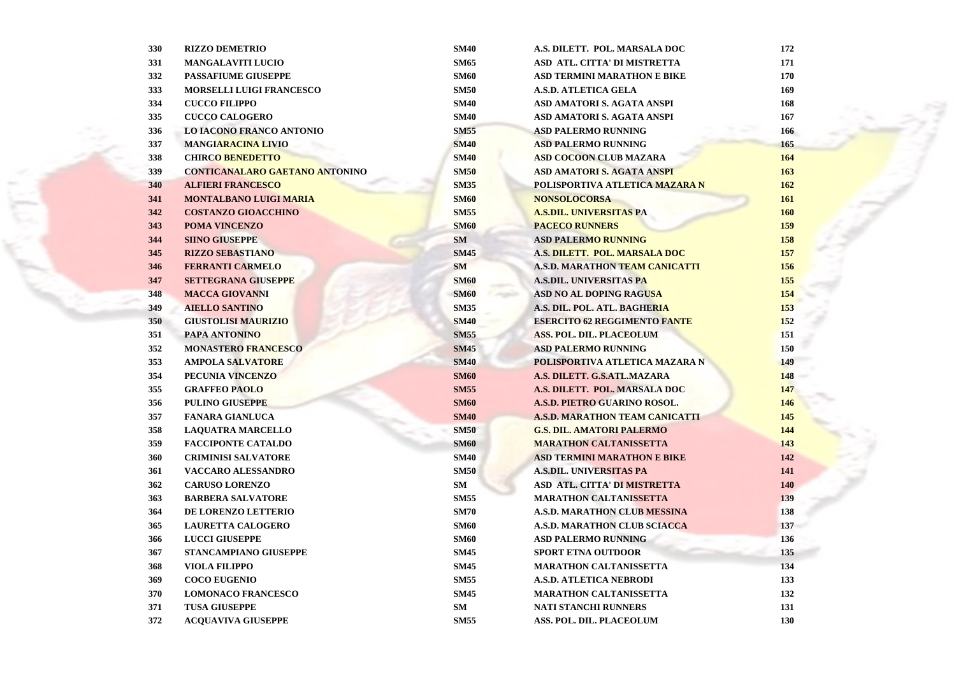| 330 | <b>RIZZO DEMETRIO</b>                 | <b>SM40</b> | A.S. DILETT. POL. MARSALA DOC         | 172        |
|-----|---------------------------------------|-------------|---------------------------------------|------------|
| 331 | <b>MANGALAVITI LUCIO</b>              | <b>SM65</b> | ASD ATL. CITTA' DI MISTRETTA          | 171        |
| 332 | <b>PASSAFIUME GIUSEPPE</b>            | <b>SM60</b> | <b>ASD TERMINI MARATHON E BIKE</b>    | 170        |
| 333 | <b>MORSELLI LUIGI FRANCESCO</b>       | <b>SM50</b> | <b>A.S.D. ATLETICA GELA</b>           | 169        |
| 334 | <b>CUCCO FILIPPO</b>                  | <b>SM40</b> | ASD AMATORI S. AGATA ANSPI            | 168        |
| 335 | <b>CUCCO CALOGERO</b>                 | <b>SM40</b> | ASD AMATORI S. AGATA ANSPI            | 167        |
| 336 | <b>LO IACONO FRANCO ANTONIO</b>       | <b>SM55</b> | <b>ASD PALERMO RUNNING</b>            | 166        |
| 337 | <b>MANGIARACINA LIVIO</b>             | <b>SM40</b> | <b>ASD PALERMO RUNNING</b>            | 165        |
| 338 | <b>CHIRCO BENEDETTO</b>               | <b>SM40</b> | <b>ASD COCOON CLUB MAZARA</b>         | 164        |
| 339 | <b>CONTICANALARO GAETANO ANTONINO</b> | <b>SM50</b> | <b>ASD AMATORI S. AGATA ANSPI</b>     | 163        |
| 340 | <b>ALFIERI FRANCESCO</b>              | <b>SM35</b> | POLISPORTIVA ATLETICA MAZARA N        | 162        |
| 341 | <b>MONTALBANO LUIGI MARIA</b>         | <b>SM60</b> | <b>NONSOLOCORSA</b>                   | 161        |
| 342 | <b>COSTANZO GIOACCHINO</b>            | <b>SM55</b> | <b>A.S.DIL. UNIVERSITAS PA</b>        | <b>160</b> |
| 343 | POMA VINCENZO                         | <b>SM60</b> | <b>PACECO RUNNERS</b>                 | 159        |
| 344 | <b>SIINO GIUSEPPE</b>                 | <b>SM</b>   | <b>ASD PALERMO RUNNING</b>            | 158        |
| 345 | <b>RIZZO SEBASTIANO</b>               | <b>SM45</b> | A.S. DILETT. POL. MARSALA DOC         | 157        |
| 346 | <b>FERRANTI CARMELO</b>               | <b>SM</b>   | <b>A.S.D. MARATHON TEAM CANICATTI</b> | 156        |
| 347 | <b>SETTEGRANA GIUSEPPE</b>            | <b>SM60</b> | <b>A.S.DIL. UNIVERSITAS PA</b>        | 155        |
| 348 | <b>MACCA GIOVANNI</b>                 | <b>SM60</b> | ASD NO AL DOPING RAGUSA               | 154        |
| 349 | <b>AIELLO SANTINO</b>                 | <b>SM35</b> | A.S. DIL. POL. ATL. BAGHERIA          | 153        |
| 350 | <b>GIUSTOLISI MAURIZIO</b>            | <b>SM40</b> | <b>ESERCITO 62 REGGIMENTO FANTE</b>   | 152        |
| 351 | <b>PAPA ANTONINO</b>                  | <b>SM55</b> | ASS. POL. DIL. PLACEOLUM              | 151        |
| 352 | <b>MONASTERO FRANCESCO</b>            | <b>SM45</b> | <b>ASD PALERMO RUNNING</b>            | 150        |
| 353 | <b>AMPOLA SALVATORE</b>               | <b>SM40</b> | POLISPORTIVA ATLETICA MAZARA N        | 149        |
| 354 | PECUNIA VINCENZO                      | <b>SM60</b> | A.S. DILETT. G.S.ATL.MAZARA           | 148        |
| 355 | <b>GRAFFEO PAOLO</b>                  | <b>SM55</b> | A.S. DILETT. POL. MARSALA DOC         | 147        |
| 356 | <b>PULINO GIUSEPPE</b>                | <b>SM60</b> | A.S.D. PIETRO GUARINO ROSOL.          | <b>146</b> |
| 357 | <b>FANARA GIANLUCA</b>                | <b>SM40</b> | <b>A.S.D. MARATHON TEAM CANICATTI</b> | 145        |
| 358 | <b>LAQUATRA MARCELLO</b>              | <b>SM50</b> | <b>G.S. DIL. AMATORI PALERMO</b>      | 144        |
| 359 | <b>FACCIPONTE CATALDO</b>             | <b>SM60</b> | <b>MARATHON CALTANISSETTA</b>         | 143        |
| 360 | <b>CRIMINISI SALVATORE</b>            | <b>SM40</b> | <b>ASD TERMINI MARATHON E BIKE</b>    | 142        |
| 361 | <b>VACCARO ALESSANDRO</b>             | <b>SM50</b> | <b>A.S.DIL. UNIVERSITAS PA</b>        | 141        |
| 362 | <b>CARUSO LORENZO</b>                 | SM          | ASD ATL. CITTA' DI MISTRETTA          | 140        |
| 363 | <b>BARBERA SALVATORE</b>              | <b>SM55</b> | <b>MARATHON CALTANISSETTA</b>         | 139        |
| 364 | DE LORENZO LETTERIO                   | <b>SM70</b> | <b>A.S.D. MARATHON CLUB MESSINA</b>   | 138        |
| 365 | <b>LAURETTA CALOGERO</b>              | <b>SM60</b> | <b>A.S.D. MARATHON CLUB SCIACCA</b>   | 137        |
| 366 | <b>LUCCI GIUSEPPE</b>                 | <b>SM60</b> | <b>ASD PALERMO RUNNING</b>            | 136        |
| 367 | STANCAMPIANO GIUSEPPE                 | <b>SM45</b> | <b>SPORT ETNA OUTDOOR</b>             | 135        |
| 368 | <b>VIOLA FILIPPO</b>                  | <b>SM45</b> | <b>MARATHON CALTANISSETTA</b>         | 134        |
| 369 | <b>COCO EUGENIO</b>                   | <b>SM55</b> | <b>A.S.D. ATLETICA NEBRODI</b>        | 133        |
| 370 | <b>LOMONACO FRANCESCO</b>             | <b>SM45</b> | <b>MARATHON CALTANISSETTA</b>         | 132        |
| 371 | <b>TUSA GIUSEPPE</b>                  | <b>SM</b>   | <b>NATI STANCHI RUNNERS</b>           | 131        |
| 372 | <b>ACQUAVIVA GIUSEPPE</b>             | <b>SM55</b> | ASS. POL. DIL. PLACEOLUM              | 130        |
|     |                                       |             |                                       |            |

틴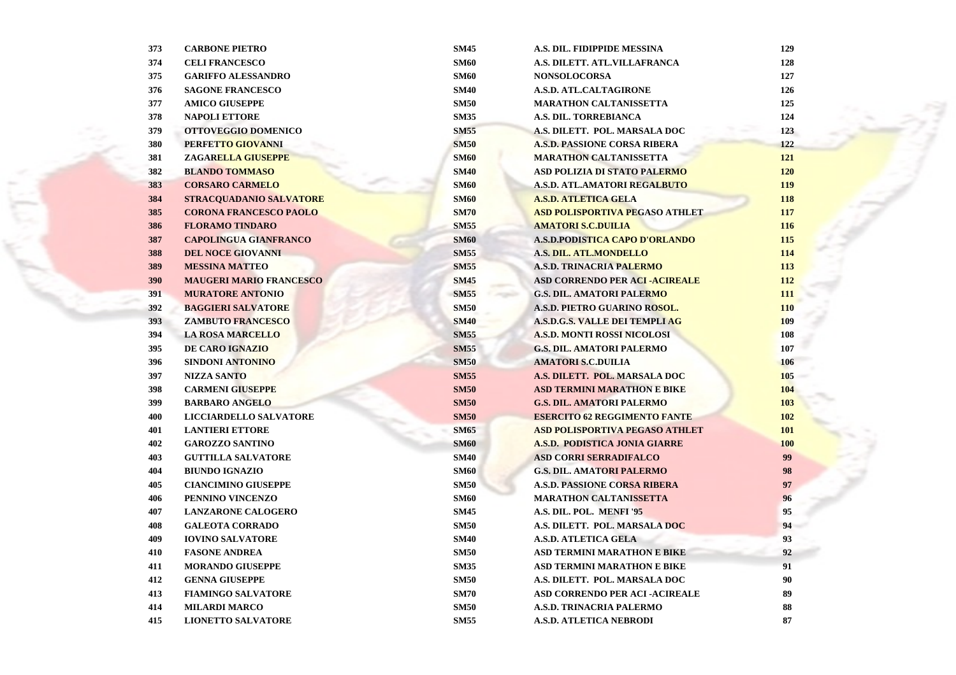| 373 | <b>CARBONE PIETRO</b>          | <b>SM45</b> | A.S. DIL. FIDIPPIDE MESSINA           | 129        |
|-----|--------------------------------|-------------|---------------------------------------|------------|
| 374 | <b>CELI FRANCESCO</b>          | <b>SM60</b> | A.S. DILETT. ATL.VILLAFRANCA          | 128        |
| 375 | <b>GARIFFO ALESSANDRO</b>      | <b>SM60</b> | <b>NONSOLOCORSA</b>                   | 127        |
| 376 | <b>SAGONE FRANCESCO</b>        | <b>SM40</b> | A.S.D. ATL.CALTAGIRONE                | 126        |
| 377 | <b>AMICO GIUSEPPE</b>          | <b>SM50</b> | <b>MARATHON CALTANISSETTA</b>         | 125        |
| 378 | <b>NAPOLI ETTORE</b>           | <b>SM35</b> | A.S. DIL. TORREBIANCA                 | 124        |
| 379 | <b>OTTOVEGGIO DOMENICO</b>     | <b>SM55</b> | A.S. DILETT. POL. MARSALA DOC         | 123        |
| 380 | PERFETTO GIOVANNI              | <b>SM50</b> | A.S.D. PASSIONE CORSA RIBERA          | 122        |
| 381 | <b>ZAGARELLA GIUSEPPE</b>      | <b>SM60</b> | <b>MARATHON CALTANISSETTA</b>         | 121        |
| 382 | <b>BLANDO TOMMASO</b>          | <b>SM40</b> | ASD POLIZIA DI STATO PALERMO          | <b>120</b> |
| 383 | <b>CORSARO CARMELO</b>         | <b>SM60</b> | A.S.D. ATL.AMATORI REGALBUTO          | <b>119</b> |
| 384 | <b>STRACQUADANIO SALVATORE</b> | <b>SM60</b> | <b>A.S.D. ATLETICA GELA</b>           | 118        |
| 385 | <b>CORONA FRANCESCO PAOLO</b>  | <b>SM70</b> | <b>ASD POLISPORTIVA PEGASO ATHLET</b> | 117        |
| 386 | <b>FLORAMO TINDARO</b>         | <b>SM55</b> | <b>AMATORI S.C.DUILIA</b>             | <b>116</b> |
| 387 | <b>CAPOLINGUA GIANFRANCO</b>   | <b>SM60</b> | A.S.D.PODISTICA CAPO D'ORLANDO        | 115        |
| 388 | <b>DEL NOCE GIOVANNI</b>       | <b>SM55</b> | A.S. DIL. ATL.MONDELLO                | 114        |
| 389 | <b>MESSINA MATTEO</b>          | <b>SM55</b> | <b>A.S.D. TRINACRIA PALERMO</b>       | 113        |
| 390 | <b>MAUGERI MARIO FRANCESCO</b> | <b>SM45</b> | <b>ASD CORRENDO PER ACI-ACIREALE</b>  | 112        |
| 391 | <b>MURATORE ANTONIO</b>        | <b>SM55</b> | <b>G.S. DIL. AMATORI PALERMO</b>      | 111        |
| 392 | <b>BAGGIERI SALVATORE</b>      | <b>SM50</b> | A.S.D. PIETRO GUARINO ROSOL.          | <b>110</b> |
| 393 | <b>ZAMBUTO FRANCESCO</b>       | <b>SM40</b> | A.S.D.G.S. VALLE DEI TEMPLI AG        | <b>109</b> |
| 394 | <b>LA ROSA MARCELLO</b>        | <b>SM55</b> | <b>A.S.D. MONTI ROSSI NICOLOSI</b>    | <b>108</b> |
| 395 | <b>DE CARO IGNAZIO</b>         | <b>SM55</b> | <b>G.S. DIL. AMATORI PALERMO</b>      | 107        |
| 396 | <b>SINDONI ANTONINO</b>        | <b>SM50</b> | <b>AMATORI S.C.DUILIA</b>             | 106        |
| 397 | <b>NIZZA SANTO</b>             | <b>SM55</b> | A.S. DILETT. POL. MARSALA DOC         | 105        |
| 398 | <b>CARMENI GIUSEPPE</b>        | <b>SM50</b> | <b>ASD TERMINI MARATHON E BIKE</b>    | 104        |
| 399 | <b>BARBARO ANGELO</b>          | <b>SM50</b> | <b>G.S. DIL. AMATORI PALERMO</b>      | 103        |
| 400 | LICCIARDELLO SALVATORE         | <b>SM50</b> | <b>ESERCITO 62 REGGIMENTO FANTE</b>   | 102        |
| 401 | <b>LANTIERI ETTORE</b>         | <b>SM65</b> | <b>ASD POLISPORTIVA PEGASO ATHLET</b> | 101        |
| 402 | <b>GAROZZO SANTINO</b>         | <b>SM60</b> | A.S.D. PODISTICA JONIA GIARRE         | 100        |
| 403 | <b>GUTTILLA SALVATORE</b>      | <b>SM40</b> | <b>ASD CORRI SERRADIFALCO</b>         | 99         |
| 404 | <b>BIUNDO IGNAZIO</b>          | <b>SM60</b> | <b>G.S. DIL. AMATORI PALERMO</b>      | 98         |
| 405 | <b>CIANCIMINO GIUSEPPE</b>     | <b>SM50</b> | <b>A.S.D. PASSIONE CORSA RIBERA</b>   | 97         |
| 406 | PENNINO VINCENZO               | <b>SM60</b> | <b>MARATHON CALTANISSETTA</b>         | 96         |
| 407 | <b>LANZARONE CALOGERO</b>      | <b>SM45</b> | A.S. DIL. POL. MENFI '95              | 95         |
| 408 | <b>GALEOTA CORRADO</b>         | <b>SM50</b> | A.S. DILETT. POL. MARSALA DOC         | 94         |
| 409 | <b>IOVINO SALVATORE</b>        | <b>SM40</b> | <b>A.S.D. ATLETICA GELA</b>           | 93         |
| 410 | <b>FASONE ANDREA</b>           | <b>SM50</b> | <b>ASD TERMINI MARATHON E BIKE</b>    | 92         |
| 411 | <b>MORANDO GIUSEPPE</b>        | <b>SM35</b> | <b>ASD TERMINI MARATHON E BIKE</b>    | 91         |
| 412 | <b>GENNA GIUSEPPE</b>          | <b>SM50</b> | A.S. DILETT. POL. MARSALA DOC         | 90         |
| 413 | <b>FIAMINGO SALVATORE</b>      | <b>SM70</b> | ASD CORRENDO PER ACI - ACIREALE       | 89         |
| 414 | <b>MILARDI MARCO</b>           | <b>SM50</b> | A.S.D. TRINACRIA PALERMO              | 88         |
| 415 | <b>LIONETTO SALVATORE</b>      | <b>SM55</b> | <b>A.S.D. ATLETICA NEBRODI</b>        | 87         |

F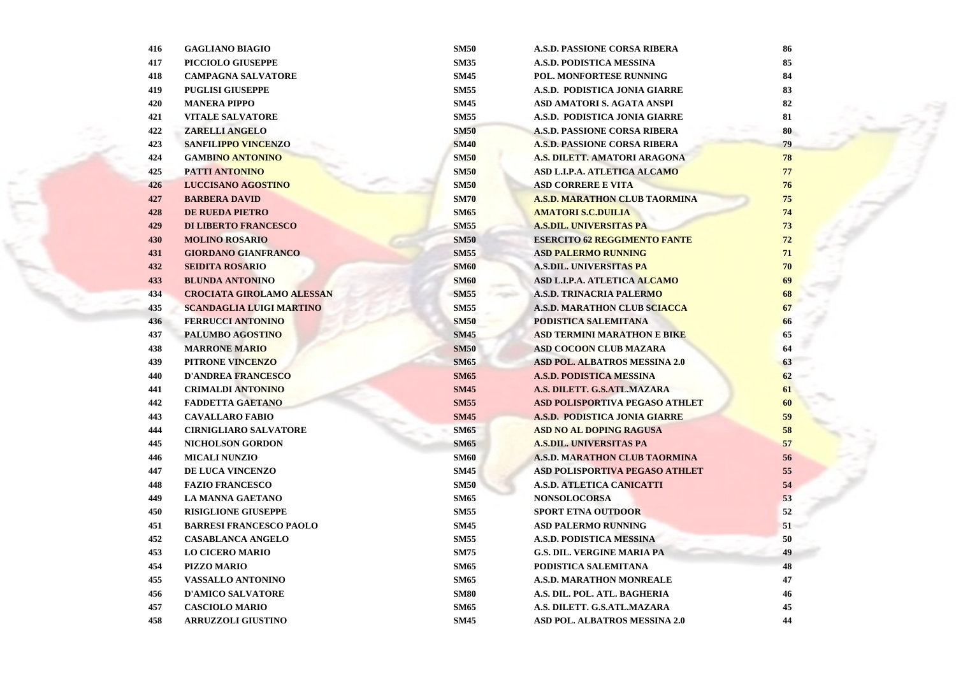| 416 | <b>GAGLIANO BIAGIO</b>           | <b>SM50</b> | <b>A.S.D. PASSIONE CORSA RIBERA</b>   | 86 |
|-----|----------------------------------|-------------|---------------------------------------|----|
| 417 | PICCIOLO GIUSEPPE                | <b>SM35</b> | A.S.D. PODISTICA MESSINA              | 85 |
| 418 | <b>CAMPAGNA SALVATORE</b>        | <b>SM45</b> | POL. MONFORTESE RUNNING               | 84 |
| 419 | <b>PUGLISI GIUSEPPE</b>          | <b>SM55</b> | A.S.D. PODISTICA JONIA GIARRE         | 83 |
| 420 | <b>MANERA PIPPO</b>              | <b>SM45</b> | ASD AMATORI S. AGATA ANSPI            | 82 |
| 421 | <b>VITALE SALVATORE</b>          | <b>SM55</b> | A.S.D. PODISTICA JONIA GIARRE         | 81 |
| 422 | <b>ZARELLI ANGELO</b>            | <b>SM50</b> | <b>A.S.D. PASSIONE CORSA RIBERA</b>   | 80 |
| 423 | <b>SANFILIPPO VINCENZO</b>       | <b>SM40</b> | <b>A.S.D. PASSIONE CORSA RIBERA</b>   | 79 |
| 424 | <b>GAMBINO ANTONINO</b>          | <b>SM50</b> | A.S. DILETT. AMATORI ARAGONA          | 78 |
| 425 | <b>PATTI ANTONINO</b>            | <b>SM50</b> | ASD L.I.P.A. ATLETICA ALCAMO          | 77 |
| 426 | LUCCISANO AGOSTINO               | <b>SM50</b> | <b>ASD CORRERE E VITA</b>             | 76 |
| 427 | <b>BARBERA DAVID</b>             | <b>SM70</b> | <b>A.S.D. MARATHON CLUB TAORMINA</b>  | 75 |
| 428 | <b>DE RUEDA PIETRO</b>           | <b>SM65</b> | <b>AMATORI S.C.DUILIA</b>             | 74 |
| 429 | <b>DI LIBERTO FRANCESCO</b>      | <b>SM55</b> | <b>A.S.DIL. UNIVERSITAS PA</b>        | 73 |
| 430 | <b>MOLINO ROSARIO</b>            | <b>SM50</b> | <b>ESERCITO 62 REGGIMENTO FANTE</b>   | 72 |
| 431 | <b>GIORDANO GIANFRANCO</b>       | <b>SM55</b> | <b>ASD PALERMO RUNNING</b>            | 71 |
| 432 | <b>SEIDITA ROSARIO</b>           | <b>SM60</b> | <b>A.S.DIL. UNIVERSITAS PA</b>        | 70 |
| 433 | <b>BLUNDA ANTONINO</b>           | <b>SM60</b> | ASD L.I.P.A. ATLETICA ALCAMO          | 69 |
| 434 | <b>CROCIATA GIROLAMO ALESSAN</b> | <b>SM55</b> | A.S.D. TRINACRIA PALERMO              | 68 |
| 435 | <b>SCANDAGLIA LUIGI MARTINO</b>  | <b>SM55</b> | <b>A.S.D. MARATHON CLUB SCIACCA</b>   | 67 |
| 436 | <b>FERRUCCI ANTONINO</b>         | <b>SM50</b> | PODISTICA SALEMITANA                  | 66 |
| 437 | PALUMBO AGOSTINO                 | <b>SM45</b> | <b>ASD TERMINI MARATHON E BIKE</b>    | 65 |
| 438 | <b>MARRONE MARIO</b>             | <b>SM50</b> | ASD COCOON CLUB MAZARA                | 64 |
| 439 | PITRONE VINCENZO                 | <b>SM65</b> | <b>ASD POL. ALBATROS MESSINA 2.0</b>  | 63 |
| 440 | <b>D'ANDREA FRANCESCO</b>        | <b>SM65</b> | <b>A.S.D. PODISTICA MESSINA</b>       | 62 |
| 441 | <b>CRIMALDI ANTONINO</b>         | <b>SM45</b> | A.S. DILETT. G.S.ATL.MAZARA           | 61 |
| 442 | <b>FADDETTA GAETANO</b>          | <b>SM55</b> | ASD POLISPORTIVA PEGASO ATHLET        | 60 |
| 443 | <b>CAVALLARO FABIO</b>           | <b>SM45</b> | A.S.D. PODISTICA JONIA GIARRE         | 59 |
| 444 | <b>CIRNIGLIARO SALVATORE</b>     | <b>SM65</b> | ASD NO AL DOPING RAGUSA               | 58 |
| 445 | <b>NICHOLSON GORDON</b>          | <b>SM65</b> | <b>A.S.DIL. UNIVERSITAS PA</b>        | 57 |
| 446 | <b>MICALI NUNZIO</b>             | <b>SM60</b> | <b>A.S.D. MARATHON CLUB TAORMINA</b>  | 56 |
| 447 | DE LUCA VINCENZO                 | <b>SM45</b> | <b>ASD POLISPORTIVA PEGASO ATHLET</b> | 55 |
| 448 | <b>FAZIO FRANCESCO</b>           | <b>SM50</b> | <b>A.S.D. ATLETICA CANICATTI</b>      | 54 |
| 449 | <b>LA MANNA GAETANO</b>          | <b>SM65</b> | <b>NONSOLOCORSA</b>                   | 53 |
| 450 | <b>RISIGLIONE GIUSEPPE</b>       | <b>SM55</b> | <b>SPORT ETNA OUTDOOR</b>             | 52 |
| 451 | <b>BARRESI FRANCESCO PAOLO</b>   | <b>SM45</b> | <b>ASD PALERMO RUNNING</b>            | 51 |
| 452 | <b>CASABLANCA ANGELO</b>         | <b>SM55</b> | <b>A.S.D. PODISTICA MESSINA</b>       | 50 |
| 453 | <b>LO CICERO MARIO</b>           | <b>SM75</b> | <b>G.S. DIL. VERGINE MARIA PA</b>     | 49 |
| 454 | PIZZO MARIO                      | <b>SM65</b> | PODISTICA SALEMITANA                  | 48 |
| 455 | <b>VASSALLO ANTONINO</b>         | <b>SM65</b> | A.S.D. MARATHON MONREALE              | 47 |
| 456 | <b>D'AMICO SALVATORE</b>         | <b>SM80</b> | A.S. DIL. POL. ATL. BAGHERIA          | 46 |
| 457 | <b>CASCIOLO MARIO</b>            | <b>SM65</b> | A.S. DILETT. G.S.ATL.MAZARA           | 45 |
| 458 | <b>ARRUZZOLI GIUSTINO</b>        | <b>SM45</b> | <b>ASD POL. ALBATROS MESSINA 2.0</b>  | 44 |

ATE.